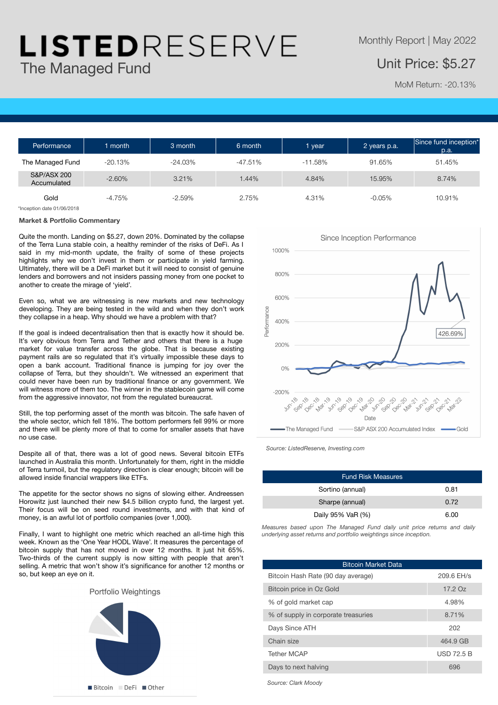## LISTEDRESERVE The Managed Fund

## Unit Price: \$5.27

MoM Return: -20.13%

| Performance                | 1 month   | 3 month   | 6 month   | vear      | 2 years p.a. | Since fund inception*<br>$\overline{p}$ .a. |
|----------------------------|-----------|-----------|-----------|-----------|--------------|---------------------------------------------|
| The Managed Fund           | $-20.13%$ | $-24.03%$ | $-47.51%$ | $-11.58%$ | 91.65%       | 51.45%                                      |
| S&P/ASX 200<br>Accumulated | $-2.60%$  | 3.21%     | 1.44%     | 4.84%     | 15.95%       | 8.74%                                       |
| Gold                       | $-4.75%$  | $-2.59\%$ | 2.75%     | 4.31%     | $-0.05\%$    | 10.91%                                      |

\*Inception date 01/06/2018

#### **Market & Portfolio Commentary**

Quite the month. Landing on \$5.27, down 20%. Dominated by the collapse of the Terra Luna stable coin, a healthy reminder of the risks of DeFi. As I said in my mid-month update, the frailty of some of these projects highlights why we don't invest in them or participate in yield farming. Ultimately, there will be a DeFi market but it will need to consist of genuine lenders and borrowers and not insiders passing money from one pocket to another to create the mirage of 'yield'.

Even so, what we are witnessing is new markets and new technology developing. They are being tested in the wild and when they don't work they collapse in a heap. Why should we have a problem with that?

If the goal is indeed decentralisation then that is exactly how it should be. It's very obvious from Terra and Tether and others that there is a huge market for value transfer across the globe. That is because existing payment rails are so regulated that it's virtually impossible these days to open a bank account. Traditional finance is jumping for joy over the collapse of Terra, but they shouldn't. We witnessed an experiment that could never have been run by traditional finance or any government. We will witness more of them too. The winner in the stablecoin game will come from the aggressive innovator, not from the regulated bureaucrat.

Still, the top performing asset of the month was bitcoin. The safe haven of the whole sector, which fell 18%. The bottom performers fell 99% or more and there will be plenty more of that to come for smaller assets that have no use case.

Despite all of that, there was a lot of good news. Several bitcoin ETFs launched in Australia this month. Unfortunately for them, right in the middle of Terra turmoil, but the regulatory direction is clear enough; bitcoin will be allowed inside financial wrappers like ETFs.

The appetite for the sector shows no signs of slowing either. Andreessen Horowitz just launched their new \$4.5 billion crypto fund, the largest yet. Their focus will be on seed round investments, and with that kind of money, is an awful lot of portfolio companies (over 1,000).

Finally, I want to highlight one metric which reached an all-time high this week. Known as the 'One Year HODL Wave'. It measures the percentage of bitcoin supply that has not moved in over 12 months. It just hit 65%. Two-thirds of the current supply is now sitting with people that aren't selling. A metric that won't show it's significance for another 12 months or so, but keep an eye on it.





*Source: ListedReserve, Investing.com*

| <b>Fund Risk Measures</b> |      |  |  |  |  |  |
|---------------------------|------|--|--|--|--|--|
| Sortino (annual)          | 0.81 |  |  |  |  |  |
| Sharpe (annual)           | 0.72 |  |  |  |  |  |
| Daily 95% VaR (%)         | 6.00 |  |  |  |  |  |

*Measures based upon The Managed Fund daily unit price returns and daily underlying asset returns and portfolio weightings since inception.*

| <b>Bitcoin Market Data</b>          |              |  |  |  |  |  |
|-------------------------------------|--------------|--|--|--|--|--|
| Bitcoin Hash Rate (90 day average)  | 209.6 EH/s   |  |  |  |  |  |
| Bitcoin price in Oz Gold            | 17.2Oz       |  |  |  |  |  |
| % of gold market cap                | 4.98%        |  |  |  |  |  |
| % of supply in corporate treasuries | 8.71%        |  |  |  |  |  |
| Days Since ATH                      | 202          |  |  |  |  |  |
| Chain size                          | 464.9 GB     |  |  |  |  |  |
| <b>Tether MCAP</b>                  | $USD$ 72.5 B |  |  |  |  |  |
| Days to next halving                | 696          |  |  |  |  |  |

*Source: Clark Moody*